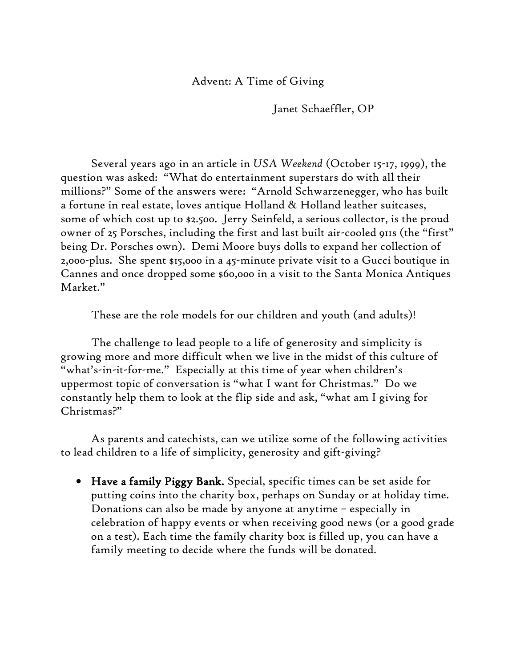## Advent: A Time of Giving

Janet Schaeffler, OP

Several years ago in an article in *USA Weekend* (October 15-17, 1999), the question was asked: "What do entertainment superstars do with all their millions?" Some of the answers were: "Arnold Schwarzenegger, who has built a fortune in real estate, loves antique Holland & Holland leather suitcases, some of which cost up to \$2.500. Jerry Seinfeld, a serious collector, is the proud owner of 25 Porsches, including the first and last built air-cooled 911s (the "first" being Dr. Porsches own). Demi Moore buys dolls to expand her collection of 2,000-plus. She spent \$15,000 in a 45-minute private visit to a Gucci boutique in Cannes and once dropped some \$60,000 in a visit to the Santa Monica Antiques Market."

These are the role models for our children and youth (and adults)!

The challenge to lead people to a life of generosity and simplicity is growing more and more difficult when we live in the midst of this culture of "what's-in-it-for-me." Especially at this time of year when children's uppermost topic of conversation is "what I want for Christmas." Do we constantly help them to look at the flip side and ask, "what am I giving for Christmas?"

As parents and catechists, can we utilize some of the following activities to lead children to a life of simplicity, generosity and gift-giving?

 Have a family Piggy Bank. Special, specific times can be set aside for putting coins into the charity box, perhaps on Sunday or at holiday time. Donations can also be made by anyone at anytime – especially in celebration of happy events or when receiving good news (or a good grade on a test). Each time the family charity box is filled up, you can have a family meeting to decide where the funds will be donated.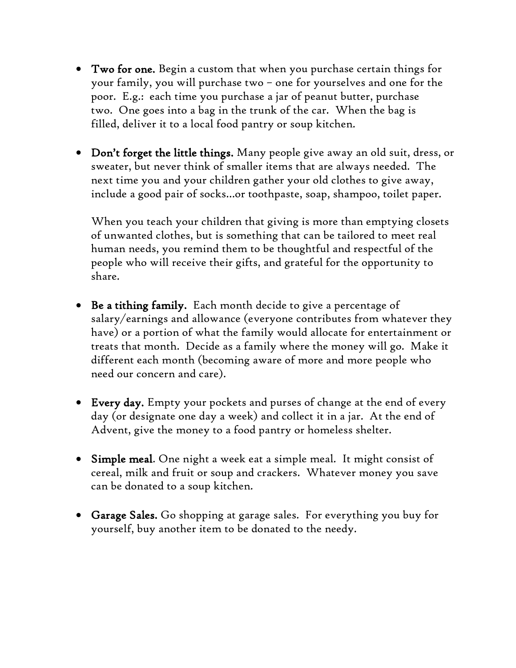- Two for one. Begin a custom that when you purchase certain things for your family, you will purchase two – one for yourselves and one for the poor. E.g.: each time you purchase a jar of peanut butter, purchase two. One goes into a bag in the trunk of the car. When the bag is filled, deliver it to a local food pantry or soup kitchen.
- Don't forget the little things. Many people give away an old suit, dress, or sweater, but never think of smaller items that are always needed. The next time you and your children gather your old clothes to give away, include a good pair of socks…or toothpaste, soap, shampoo, toilet paper.

When you teach your children that giving is more than emptying closets of unwanted clothes, but is something that can be tailored to meet real human needs, you remind them to be thoughtful and respectful of the people who will receive their gifts, and grateful for the opportunity to share.

- Be a tithing family. Each month decide to give a percentage of salary/earnings and allowance (everyone contributes from whatever they have) or a portion of what the family would allocate for entertainment or treats that month. Decide as a family where the money will go. Make it different each month (becoming aware of more and more people who need our concern and care).
- Every day. Empty your pockets and purses of change at the end of every day (or designate one day a week) and collect it in a jar. At the end of Advent, give the money to a food pantry or homeless shelter.
- Simple meal. One night a week eat a simple meal. It might consist of cereal, milk and fruit or soup and crackers. Whatever money you save can be donated to a soup kitchen.
- Garage Sales. Go shopping at garage sales. For everything you buy for yourself, buy another item to be donated to the needy.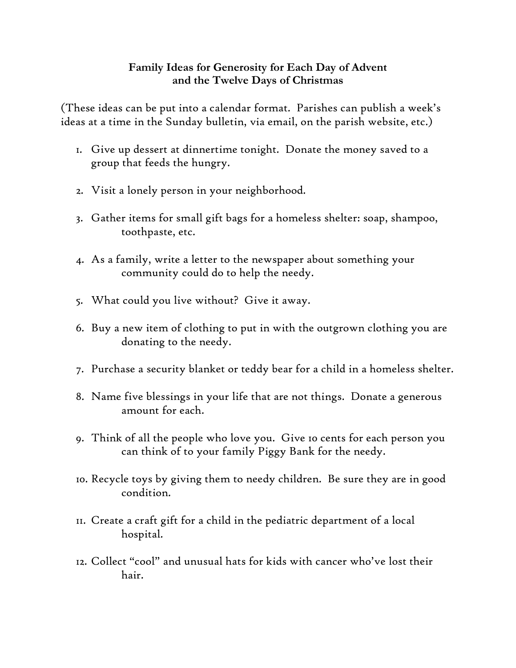## **Family Ideas for Generosity for Each Day of Advent and the Twelve Days of Christmas**

(These ideas can be put into a calendar format. Parishes can publish a week's ideas at a time in the Sunday bulletin, via email, on the parish website, etc.)

- 1. Give up dessert at dinnertime tonight. Donate the money saved to a group that feeds the hungry.
- 2. Visit a lonely person in your neighborhood.
- 3. Gather items for small gift bags for a homeless shelter: soap, shampoo, toothpaste, etc.
- 4. As a family, write a letter to the newspaper about something your community could do to help the needy.
- 5. What could you live without? Give it away.
- 6. Buy a new item of clothing to put in with the outgrown clothing you are donating to the needy.
- 7. Purchase a security blanket or teddy bear for a child in a homeless shelter.
- 8. Name five blessings in your life that are not things. Donate a generous amount for each.
- 9. Think of all the people who love you. Give 10 cents for each person you can think of to your family Piggy Bank for the needy.
- 10. Recycle toys by giving them to needy children. Be sure they are in good condition.
- 11. Create a craft gift for a child in the pediatric department of a local hospital.
- 12. Collect "cool" and unusual hats for kids with cancer who've lost their hair.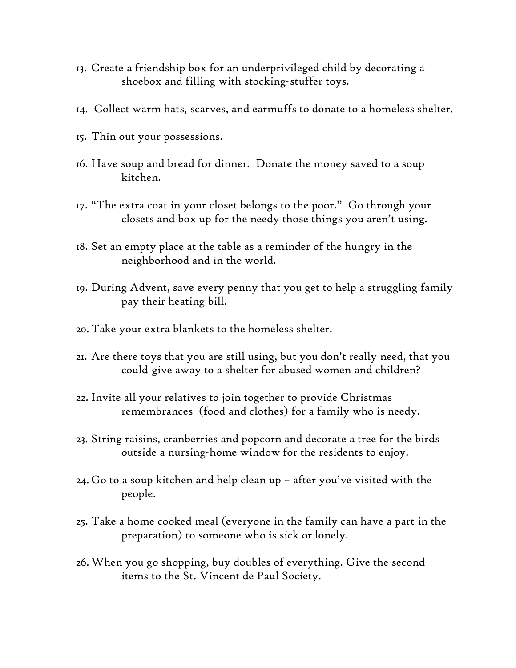- 13. Create a friendship box for an underprivileged child by decorating a shoebox and filling with stocking-stuffer toys.
- 14. Collect warm hats, scarves, and earmuffs to donate to a homeless shelter.
- 15. Thin out your possessions.
- 16. Have soup and bread for dinner. Donate the money saved to a soup kitchen.
- 17. "The extra coat in your closet belongs to the poor." Go through your closets and box up for the needy those things you aren't using.
- 18. Set an empty place at the table as a reminder of the hungry in the neighborhood and in the world.
- 19. During Advent, save every penny that you get to help a struggling family pay their heating bill.
- 20. Take your extra blankets to the homeless shelter.
- 21. Are there toys that you are still using, but you don't really need, that you could give away to a shelter for abused women and children?
- 22. Invite all your relatives to join together to provide Christmas remembrances (food and clothes) for a family who is needy.
- 23. String raisins, cranberries and popcorn and decorate a tree for the birds outside a nursing-home window for the residents to enjoy.
- 24. Go to a soup kitchen and help clean up after you've visited with the people.
- 25. Take a home cooked meal (everyone in the family can have a part in the preparation) to someone who is sick or lonely.
- 26.When you go shopping, buy doubles of everything. Give the second items to the St. Vincent de Paul Society.